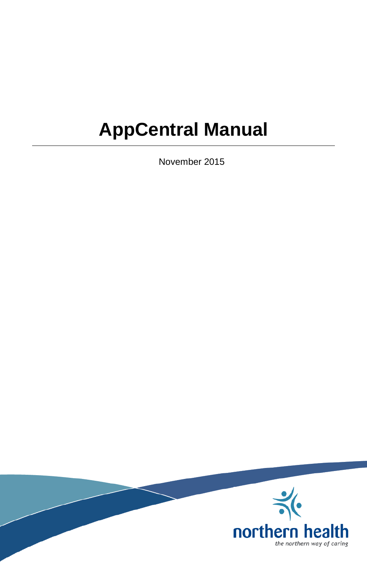# **AppCentral Manual**

November 2015

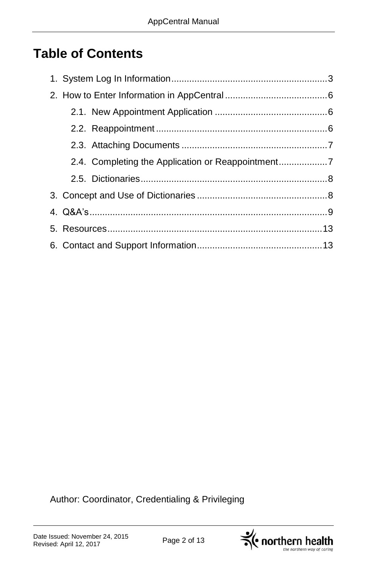# **Table of Contents**

| 2.4. Completing the Application or Reappointment7 |  |
|---------------------------------------------------|--|
|                                                   |  |
|                                                   |  |
|                                                   |  |
|                                                   |  |
|                                                   |  |

Author: Coordinator, Credentialing & Privileging

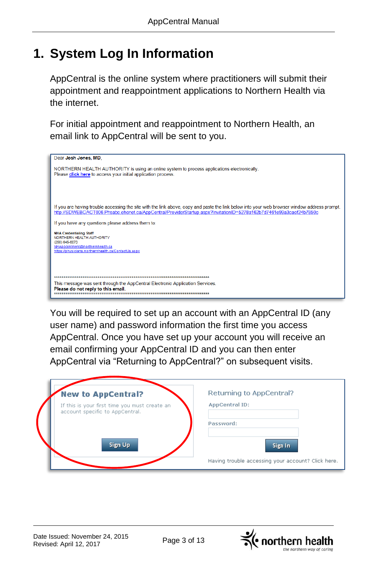# **1. System Log In Information**

AppCentral is the online system where practitioners will submit their appointment and reappointment applications to Northern Health via the internet.

For initial appointment and reappointment to Northern Health, an email link to AppCentral will be sent to you.



You will be required to set up an account with an AppCentral ID (any user name) and password information the first time you access AppCentral. Once you have set up your account you will receive an email confirming your AppCentral ID and you can then enter AppCentral via "Returning to AppCentral?" on subsequent visits.

| <b>New to AppCentral?</b>                                                        | Returning to AppCentral?                           |
|----------------------------------------------------------------------------------|----------------------------------------------------|
| If this is your first time you must create an<br>account specific to AppCentral. | AppCentral ID:                                     |
|                                                                                  | Password:                                          |
| Sign Up                                                                          | Sign In                                            |
|                                                                                  | Having trouble accessing your account? Click here. |

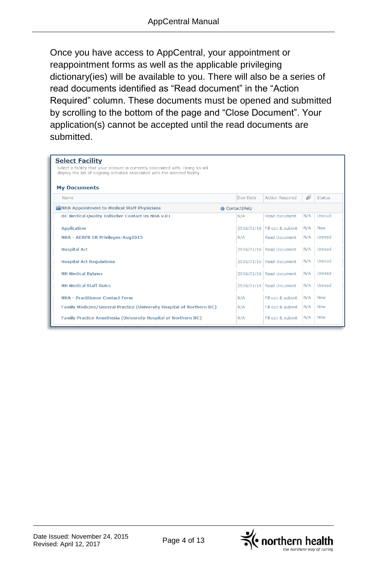Once you have access to AppCentral, your appointment or reappointment forms as well as the applicable privileging dictionary(ies) will be available to you. There will also be a series of read documents identified as "Read document" in the "Action Required" column. These documents must be opened and submitted by scrolling to the bottom of the page and "Close Document". Your application(s) cannot be accepted until the read documents are submitted.

| <b>Select Facility</b><br>Select a facility that your account is currently associated with. Doing so will<br>display the list of ongoing activities associated with the selected facility.<br><b>My Documents</b> |                |                              |     |               |
|-------------------------------------------------------------------------------------------------------------------------------------------------------------------------------------------------------------------|----------------|------------------------------|-----|---------------|
| Name                                                                                                                                                                                                              | Due Date       | <b>Action Required</b>       | 61  | <b>Status</b> |
| NHA Appointment to Medical Staff Physicians                                                                                                                                                                       | Contact   Help |                              |     |               |
| BC Medical Quality Initiative Contact Us NHA v.01                                                                                                                                                                 | N/A            | Read document                | N/A | Unread        |
| <b>Application</b>                                                                                                                                                                                                |                | 2016/01/16 Fill out & submit | N/A | <b>New</b>    |
| <b>NHA - AERPS ER Privileges-Aug2015</b>                                                                                                                                                                          | N/A            | Read document                | N/A | Unread        |
| <b>Hospital Act</b>                                                                                                                                                                                               |                | 2016/01/16 Read document     | N/A | Unread        |
| <b>Hospital Act Regulations</b>                                                                                                                                                                                   |                | 2016/01/16 Read document     | N/A | Unread        |
| <b>NH Medical Bylaws</b>                                                                                                                                                                                          |                | 2016/01/16 Read document     | N/A | Unread        |
| <b>NH Medical Staff Rules</b>                                                                                                                                                                                     |                | 2016/01/16 Read document     | N/A | Unread        |
| <b>NHA - Practitioner Contact Form</b>                                                                                                                                                                            | N/A            | Fill out & submit            | N/A | <b>New</b>    |
| <b>Family Medicine/General Practice (University Hospital of Northern BC)</b>                                                                                                                                      | N/A            | Fill out & submit            | N/A | <b>New</b>    |
| <b>Family Practice Anesthesia (University Hospital of Northern BC)</b>                                                                                                                                            | N/A            | Fill out & submit            | N/A | <b>New</b>    |

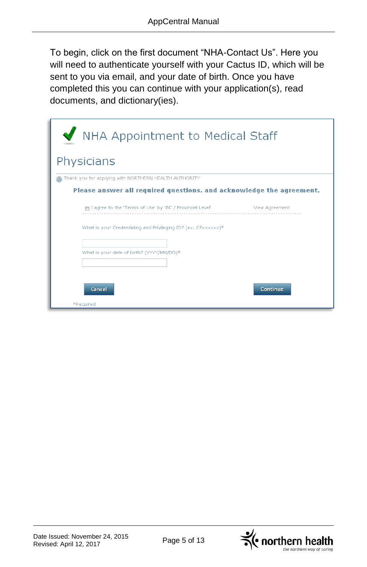To begin, click on the first document "NHA-Contact Us". Here you will need to authenticate yourself with your Cactus ID, which will be sent to you via email, and your date of birth. Once you have completed this you can continue with your application(s), read documents, and dictionary(ies).

| NHA Appointment to Medical Staff<br>Physicians                       |                |  |  |  |  |
|----------------------------------------------------------------------|----------------|--|--|--|--|
| Thank you for applying with NORTHERN HEALTH AUTHORITY                |                |  |  |  |  |
| Please answer all required questions, and acknowledge the agreement. |                |  |  |  |  |
| ∏ I agree to the 'Terms of Use' by 'BC / Provincial Level'.          | View Agreement |  |  |  |  |
| What is your Credentialing and Privileging ID? (ex: CPxxxxxx)*       |                |  |  |  |  |
| What is your date of birth? (YYYY/MM/DD)*                            |                |  |  |  |  |
|                                                                      |                |  |  |  |  |
| Cancel                                                               | Continue       |  |  |  |  |
| *Required                                                            |                |  |  |  |  |

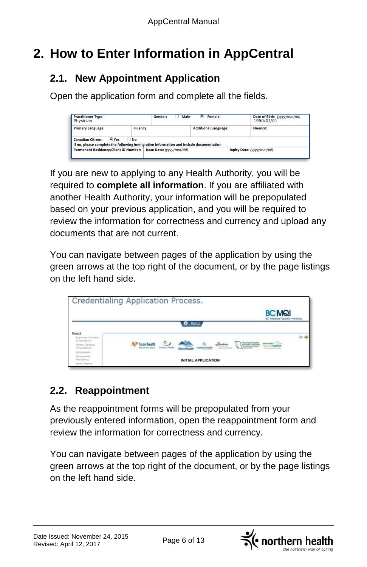# **2. How to Enter Information in AppCentral**

### **2.1. New Appointment Application**

Open the application form and complete all the fields.

| <b>Practitioner Type:</b><br>Physician                                                                               |    | Male<br>Gender:<br>------<br>______ | Female               | Date of Birth: (vvvv/mm/dd)<br>1950/01/01 |  |
|----------------------------------------------------------------------------------------------------------------------|----|-------------------------------------|----------------------|-------------------------------------------|--|
| <b>Primary Language:</b><br>Fluency:                                                                                 |    |                                     | Additional Language: | Fluency:                                  |  |
| X Yes<br>Canadian Citizen:<br>If no, please complete the following immigration information and include documentation | No |                                     |                      |                                           |  |
| Permanent Residency/Client ID Number:                                                                                |    | Issue Date: (vvvv/mm/dd)            |                      | Expiry Date: (yyyy/mm/dd)                 |  |

If you are new to applying to any Health Authority, you will be required to **complete all information**. If you are affiliated with another Health Authority, your information will be prepopulated based on your previous application, and you will be required to review the information for correctness and currency and upload any documents that are not current.

You can navigate between pages of the application by using the green arrows at the top right of the document, or by the page listings on the left hand side.



### **2.2. Reappointment**

As the reappointment forms will be prepopulated from your previously entered information, open the reappointment form and review the information for correctness and currency.

You can navigate between pages of the application by using the green arrows at the top right of the document, or by the page listings on the left hand side.

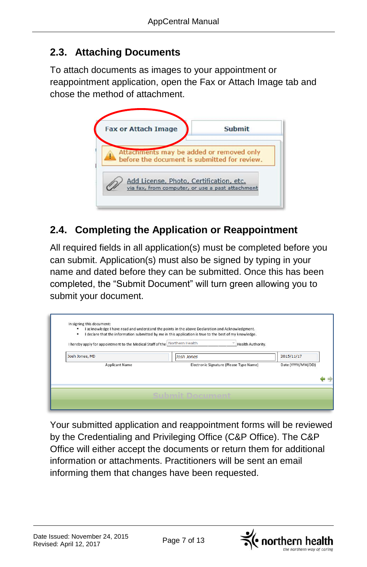### **2.3. Attaching Documents**

To attach documents as images to your appointment or reappointment application, open the Fax or Attach Image tab and chose the method of attachment.



### **2.4. Completing the Application or Reappointment**

All required fields in all application(s) must be completed before you can submit. Application(s) must also be signed by typing in your name and dated before they can be submitted. Once this has been completed, the "Submit Document" will turn green allowing you to submit your document.

| Josh Jones, MD        | Josh Jones                              | 2015/11/17        |
|-----------------------|-----------------------------------------|-------------------|
| <b>Applicant Name</b> | Electronic Signature (Please Type Name) | Date (YYYY/MM/DD) |
|                       |                                         |                   |

Your submitted application and reappointment forms will be reviewed by the Credentialing and Privileging Office (C&P Office). The C&P Office will either accept the documents or return them for additional information or attachments. Practitioners will be sent an email informing them that changes have been requested.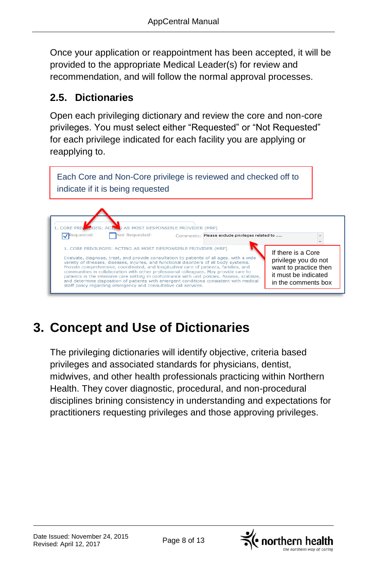Once your application or reappointment has been accepted, it will be provided to the appropriate Medical Leader(s) for review and recommendation, and will follow the normal approval processes.

### **2.5. Dictionaries**

Open each privileging dictionary and review the core and non-core privileges. You must select either "Requested" or "Not Requested" for each privilege indicated for each facility you are applying or reapplying to.

Each Core and Non-Core privilege is reviewed and checked off to indicate if it is being requested



# **3. Concept and Use of Dictionaries**

The privileging dictionaries will identify objective, criteria based privileges and associated standards for physicians, dentist, midwives, and other health professionals practicing within Northern Health. They cover diagnostic, procedural, and non-procedural disciplines brining consistency in understanding and expectations for practitioners requesting privileges and those approving privileges.

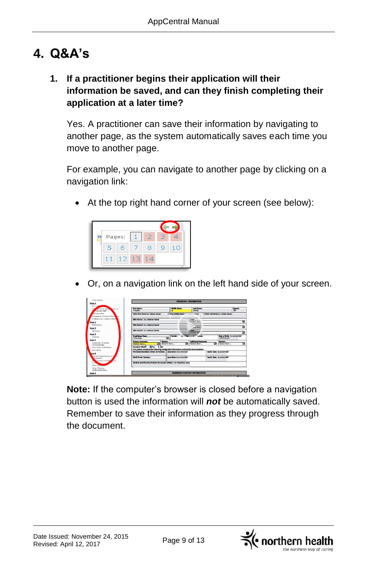# **4. Q&A's**

#### **1. If a practitioner begins their application will their information be saved, and can they finish completing their application at a later time?**

Yes. A practitioner can save their information by navigating to another page, as the system automatically saves each time you move to another page.

For example, you can navigate to another page by clicking on a navigation link:

At the top right hand corner of your screen (see below):



Or, on a navigation link on the left hand side of your screen.



**Note:** If the computer's browser is closed before a navigation button is used the information will *not* be automatically saved. Remember to save their information as they progress through the document.

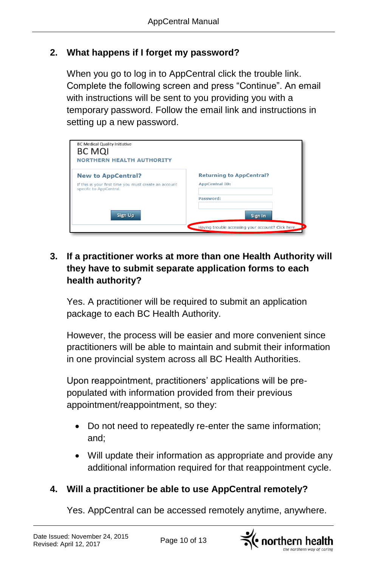#### **2. What happens if I forget my password?**

When you go to log in to AppCentral click the trouble link. Complete the following screen and press "Continue". An email with instructions will be sent to you providing you with a temporary password. Follow the email link and instructions in setting up a new password.

| <b>BC Medical Quality Initiative</b><br><b>BC MQI</b><br><b>NORTHERN HEALTH AUTHORITY</b> |                                                    |
|-------------------------------------------------------------------------------------------|----------------------------------------------------|
| <b>New to AppCentral?</b>                                                                 | <b>Returning to AppCentral?</b>                    |
| If this is your first time you must create an account<br>specific to AppCentral.          | <b>AppCentral ID:</b>                              |
|                                                                                           | Password:                                          |
| <b>Sign Up</b>                                                                            | Sign In                                            |
|                                                                                           | Having trouble accessing your account? Click here. |

#### **3. If a practitioner works at more than one Health Authority will they have to submit separate application forms to each health authority?**

Yes. A practitioner will be required to submit an application package to each BC Health Authority.

However, the process will be easier and more convenient since practitioners will be able to maintain and submit their information in one provincial system across all BC Health Authorities.

Upon reappointment, practitioners' applications will be prepopulated with information provided from their previous appointment/reappointment, so they:

- Do not need to repeatedly re-enter the same information; and;
- Will update their information as appropriate and provide any additional information required for that reappointment cycle.

### **4. Will a practitioner be able to use AppCentral remotely?**

Yes. AppCentral can be accessed remotely anytime, anywhere.

 $\preceq$  northern health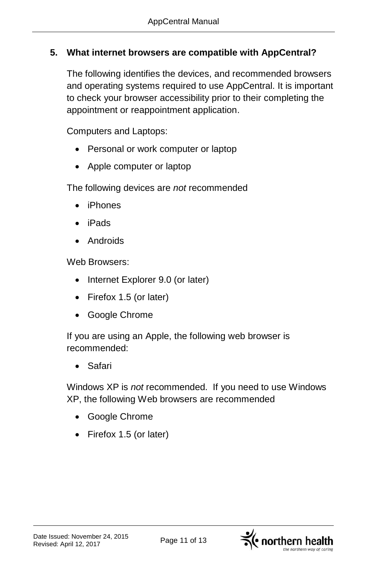#### **5. What internet browsers are compatible with AppCentral?**

The following identifies the devices, and recommended browsers and operating systems required to use AppCentral. It is important to check your browser accessibility prior to their completing the appointment or reappointment application.

Computers and Laptops:

- Personal or work computer or laptop
- Apple computer or laptop

The following devices are *not* recommended

- iPhones
- iPads
- Androids

Web Browsers:

- Internet Explorer 9.0 (or later)
- Firefox 1.5 (or later)
- Google Chrome

If you are using an Apple, the following web browser is recommended:

Safari

Windows XP is *not* recommended. If you need to use Windows XP, the following Web browsers are recommended

- Google Chrome
- Firefox 1.5 (or later)



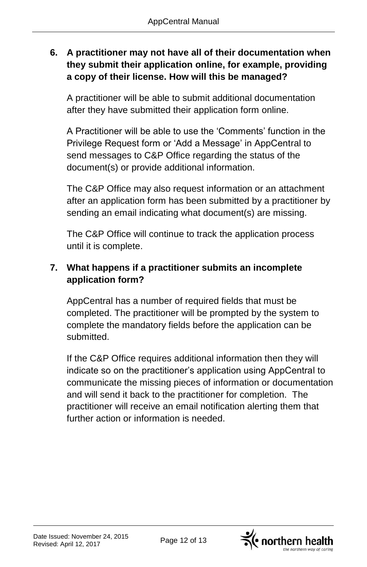#### **6. A practitioner may not have all of their documentation when they submit their application online, for example, providing a copy of their license. How will this be managed?**

A practitioner will be able to submit additional documentation after they have submitted their application form online.

A Practitioner will be able to use the 'Comments' function in the Privilege Request form or 'Add a Message' in AppCentral to send messages to C&P Office regarding the status of the document(s) or provide additional information.

The C&P Office may also request information or an attachment after an application form has been submitted by a practitioner by sending an email indicating what document(s) are missing.

The C&P Office will continue to track the application process until it is complete.

#### **7. What happens if a practitioner submits an incomplete application form?**

AppCentral has a number of required fields that must be completed. The practitioner will be prompted by the system to complete the mandatory fields before the application can be submitted.

If the C&P Office requires additional information then they will indicate so on the practitioner's application using AppCentral to communicate the missing pieces of information or documentation and will send it back to the practitioner for completion. The practitioner will receive an email notification alerting them that further action or information is needed.